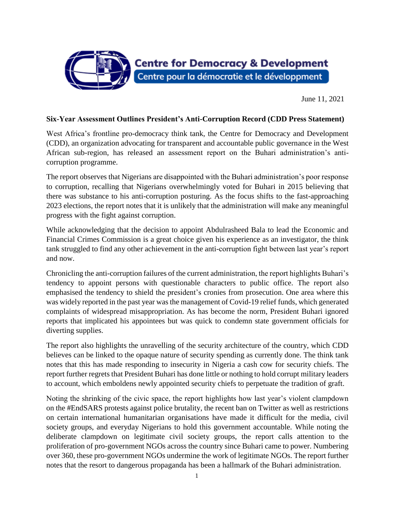

June 11, 2021

## **Six-Year Assessment Outlines President's Anti-Corruption Record (CDD Press Statement)**

West Africa's frontline pro-democracy think tank, the Centre for Democracy and Development (CDD), an organization advocating for transparent and accountable public governance in the West African sub-region, has released an assessment report on the Buhari administration's anticorruption programme.

The report observes that Nigerians are disappointed with the Buhari administration's poor response to corruption, recalling that Nigerians overwhelmingly voted for Buhari in 2015 believing that there was substance to his anti-corruption posturing. As the focus shifts to the fast-approaching 2023 elections, the report notes that it is unlikely that the administration will make any meaningful progress with the fight against corruption.

While acknowledging that the decision to appoint Abdulrasheed Bala to lead the Economic and Financial Crimes Commission is a great choice given his experience as an investigator, the think tank struggled to find any other achievement in the anti-corruption fight between last year's report and now.

Chronicling the anti-corruption failures of the current administration, the report highlights Buhari's tendency to appoint persons with questionable characters to public office. The report also emphasised the tendency to shield the president's cronies from prosecution. One area where this was widely reported in the past year wasthe management of Covid-19 relief funds, which generated complaints of widespread misappropriation. As has become the norm, President Buhari ignored reports that implicated his appointees but was quick to condemn state government officials for diverting supplies.

The report also highlights the unravelling of the security architecture of the country, which CDD believes can be linked to the opaque nature of security spending as currently done. The think tank notes that this has made responding to insecurity in Nigeria a cash cow for security chiefs. The report further regrets that President Buhari has done little or nothing to hold corrupt military leaders to account, which emboldens newly appointed security chiefs to perpetuate the tradition of graft.

Noting the shrinking of the civic space, the report highlights how last year's violent clampdown on the #EndSARS protests against police brutality, the recent ban on Twitter as well as restrictions on certain international humanitarian organisations have made it difficult for the media, civil society groups, and everyday Nigerians to hold this government accountable. While noting the deliberate clampdown on legitimate civil society groups, the report calls attention to the proliferation of pro-government NGOs across the country since Buhari came to power. Numbering over 360, these pro-government NGOs undermine the work of legitimate NGOs. The report further notes that the resort to dangerous propaganda has been a hallmark of the Buhari administration.